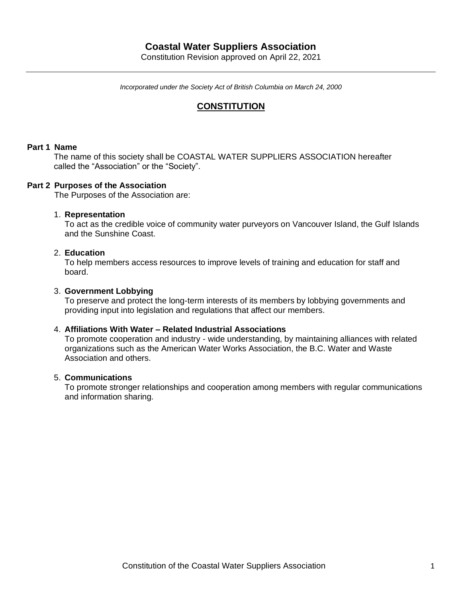# **Coastal Water Suppliers Association**

Constitution Revision approved on April 22, 2021

*Incorporated under the Society Act of British Columbia on March 24, 2000*

## **CONSTITUTION**

### **Part 1 Name**

The name of this society shall be COASTAL WATER SUPPLIERS ASSOCIATION hereafter called the "Association" or the "Society".

## **Part 2 Purposes of the Association**

The Purposes of the Association are:

#### 1. **Representation**

To act as the credible voice of community water purveyors on Vancouver Island, the Gulf Islands and the Sunshine Coast.

#### 2. **Education**

To help members access resources to improve levels of training and education for staff and board.

#### 3. **Government Lobbying**

To preserve and protect the long-term interests of its members by lobbying governments and providing input into legislation and regulations that affect our members.

#### 4. **Affiliations With Water – Related Industrial Associations**

To promote cooperation and industry - wide understanding, by maintaining alliances with related organizations such as the American Water Works Association, the B.C. Water and Waste Association and others.

#### 5. **Communications**

To promote stronger relationships and cooperation among members with regular communications and information sharing.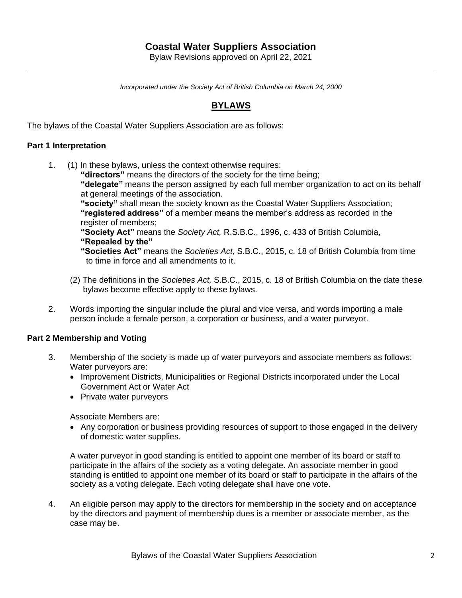# **Coastal Water Suppliers Association**

Bylaw Revisions approved on April 22, 2021

*Incorporated under the Society Act of British Columbia on March 24, 2000*

## **BYLAWS**

The bylaws of the Coastal Water Suppliers Association are as follows:

## **Part 1 Interpretation**

1. (1) In these bylaws, unless the context otherwise requires:

**"directors"** means the directors of the society for the time being; **"delegate"** means the person assigned by each full member organization to act on its behalf at general meetings of the association. **"society"** shall mean the society known as the Coastal Water Suppliers Association; **"registered address"** of a member means the member's address as recorded in the register of members; **"Society Act"** means the *Society Act,* R.S.B.C., 1996, c. 433 of British Columbia, **"Repealed by the"**

**"Societies Act"** means the *Societies Act,* S.B.C., 2015, c. 18 of British Columbia from time to time in force and all amendments to it.

- (2) The definitions in the *Societies Act,* S.B.C., 2015, c. 18 of British Columbia on the date these bylaws become effective apply to these bylaws.
- 2. Words importing the singular include the plural and vice versa, and words importing a male person include a female person, a corporation or business, and a water purveyor.

#### **Part 2 Membership and Voting**

- 3. Membership of the society is made up of water purveyors and associate members as follows: Water purveyors are:
	- Improvement Districts, Municipalities or Regional Districts incorporated under the Local Government Act or Water Act
	- Private water purveyors

Associate Members are:

• Any corporation or business providing resources of support to those engaged in the delivery of domestic water supplies.

A water purveyor in good standing is entitled to appoint one member of its board or staff to participate in the affairs of the society as a voting delegate. An associate member in good standing is entitled to appoint one member of its board or staff to participate in the affairs of the society as a voting delegate. Each voting delegate shall have one vote.

4. An eligible person may apply to the directors for membership in the society and on acceptance by the directors and payment of membership dues is a member or associate member, as the case may be.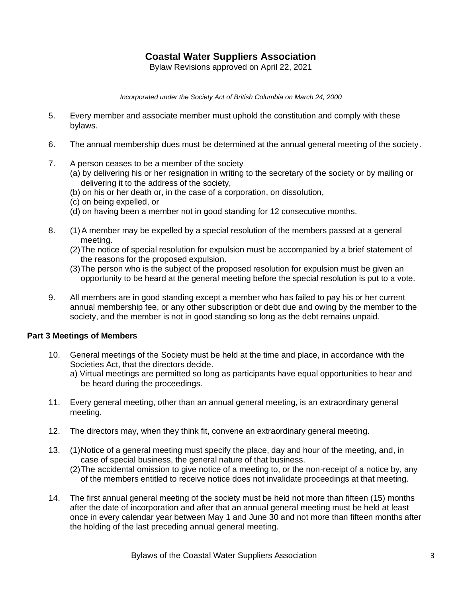*Incorporated under the Society Act of British Columbia on March 24, 2000*

- 5. Every member and associate member must uphold the constitution and comply with these bylaws.
- 6. The annual membership dues must be determined at the annual general meeting of the society.
- 7. A person ceases to be a member of the society
	- (a) by delivering his or her resignation in writing to the secretary of the society or by mailing or delivering it to the address of the society,
	- (b) on his or her death or, in the case of a corporation, on dissolution,
	- (c) on being expelled, or
	- (d) on having been a member not in good standing for 12 consecutive months.
- 8. (1)A member may be expelled by a special resolution of the members passed at a general meeting.
	- (2)The notice of special resolution for expulsion must be accompanied by a brief statement of the reasons for the proposed expulsion.
	- (3)The person who is the subject of the proposed resolution for expulsion must be given an opportunity to be heard at the general meeting before the special resolution is put to a vote.
- 9. All members are in good standing except a member who has failed to pay his or her current annual membership fee, or any other subscription or debt due and owing by the member to the society, and the member is not in good standing so long as the debt remains unpaid.

## **Part 3 Meetings of Members**

- 10. General meetings of the Society must be held at the time and place, in accordance with the Societies Act, that the directors decide.
	- a) Virtual meetings are permitted so long as participants have equal opportunities to hear and be heard during the proceedings.
- 11. Every general meeting, other than an annual general meeting, is an extraordinary general meeting.
- 12. The directors may, when they think fit, convene an extraordinary general meeting.
- 13. (1)Notice of a general meeting must specify the place, day and hour of the meeting, and, in case of special business, the general nature of that business.
	- (2)The accidental omission to give notice of a meeting to, or the non-receipt of a notice by, any of the members entitled to receive notice does not invalidate proceedings at that meeting.
- 14. The first annual general meeting of the society must be held not more than fifteen (15) months after the date of incorporation and after that an annual general meeting must be held at least once in every calendar year between May 1 and June 30 and not more than fifteen months after the holding of the last preceding annual general meeting.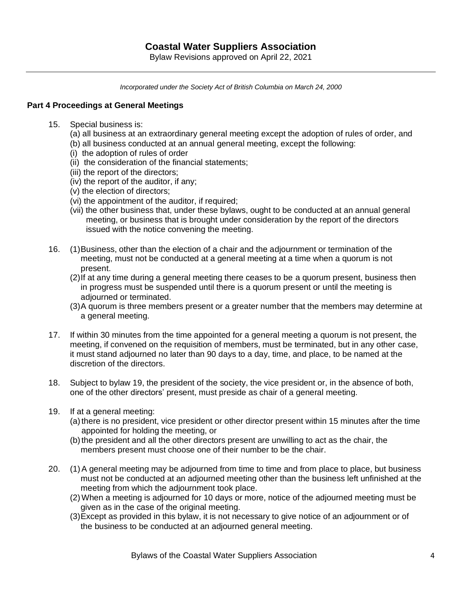*Incorporated under the Society Act of British Columbia on March 24, 2000*

## **Part 4 Proceedings at General Meetings**

- 15. Special business is:
	- (a) all business at an extraordinary general meeting except the adoption of rules of order, and
	- (b) all business conducted at an annual general meeting, except the following:
	- (i) the adoption of rules of order
	- (ii) the consideration of the financial statements;
	- (iii) the report of the directors;
	- (iv) the report of the auditor, if any;
	- (v) the election of directors;
	- (vi) the appointment of the auditor, if required;
	- (vii) the other business that, under these bylaws, ought to be conducted at an annual general meeting, or business that is brought under consideration by the report of the directors issued with the notice convening the meeting.
- 16. (1)Business, other than the election of a chair and the adjournment or termination of the meeting, must not be conducted at a general meeting at a time when a quorum is not present.
	- (2)If at any time during a general meeting there ceases to be a quorum present, business then in progress must be suspended until there is a quorum present or until the meeting is adiourned or terminated.
	- (3)A quorum is three members present or a greater number that the members may determine at a general meeting.
- 17. If within 30 minutes from the time appointed for a general meeting a quorum is not present, the meeting, if convened on the requisition of members, must be terminated, but in any other case, it must stand adjourned no later than 90 days to a day, time, and place, to be named at the discretion of the directors.
- 18. Subject to bylaw 19, the president of the society, the vice president or, in the absence of both, one of the other directors' present, must preside as chair of a general meeting.
- 19. If at a general meeting:
	- (a)there is no president, vice president or other director present within 15 minutes after the time appointed for holding the meeting, or
	- (b)the president and all the other directors present are unwilling to act as the chair, the members present must choose one of their number to be the chair.
- 20. (1)A general meeting may be adjourned from time to time and from place to place, but business must not be conducted at an adjourned meeting other than the business left unfinished at the meeting from which the adjournment took place.
	- (2)When a meeting is adjourned for 10 days or more, notice of the adjourned meeting must be given as in the case of the original meeting.
	- (3)Except as provided in this bylaw, it is not necessary to give notice of an adjournment or of the business to be conducted at an adjourned general meeting.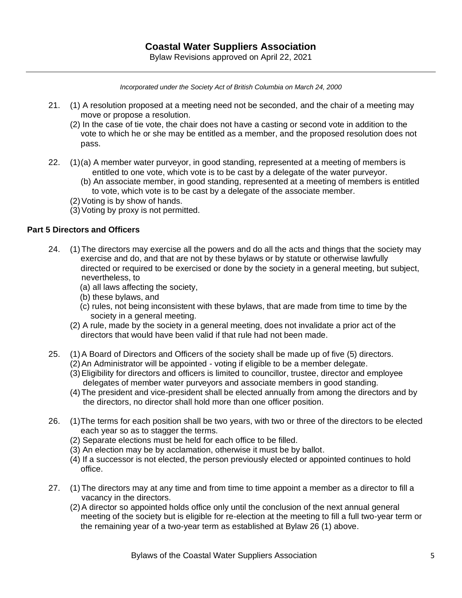- 21. (1) A resolution proposed at a meeting need not be seconded, and the chair of a meeting may move or propose a resolution.
	- (2) In the case of tie vote, the chair does not have a casting or second vote in addition to the vote to which he or she may be entitled as a member, and the proposed resolution does not pass.
- 22. (1)(a) A member water purveyor, in good standing, represented at a meeting of members is entitled to one vote, which vote is to be cast by a delegate of the water purveyor.
	- (b) An associate member, in good standing, represented at a meeting of members is entitled to vote, which vote is to be cast by a delegate of the associate member.
	- (2)Voting is by show of hands.
	- (3)Voting by proxy is not permitted.

## **Part 5 Directors and Officers**

- 24. (1)The directors may exercise all the powers and do all the acts and things that the society may exercise and do, and that are not by these bylaws or by statute or otherwise lawfully directed or required to be exercised or done by the society in a general meeting, but subject, nevertheless, to
	- (a) all laws affecting the society,
	- (b) these bylaws, and
	- (c) rules, not being inconsistent with these bylaws, that are made from time to time by the society in a general meeting.
	- (2) A rule, made by the society in a general meeting, does not invalidate a prior act of the directors that would have been valid if that rule had not been made.
- 25. (1)A Board of Directors and Officers of the society shall be made up of five (5) directors.
	- (2)An Administrator will be appointed voting if eligible to be a member delegate.
	- (3)Eligibility for directors and officers is limited to councillor, trustee, director and employee delegates of member water purveyors and associate members in good standing.
	- (4)The president and vice-president shall be elected annually from among the directors and by the directors, no director shall hold more than one officer position.
- 26. (1)The terms for each position shall be two years, with two or three of the directors to be elected each year so as to stagger the terms.
	- (2) Separate elections must be held for each office to be filled.
	- (3) An election may be by acclamation, otherwise it must be by ballot.
	- (4) If a successor is not elected, the person previously elected or appointed continues to hold office.
- 27. (1)The directors may at any time and from time to time appoint a member as a director to fill a vacancy in the directors.
	- (2)A director so appointed holds office only until the conclusion of the next annual general meeting of the society but is eligible for re-election at the meeting to fill a full two-year term or the remaining year of a two-year term as established at Bylaw 26 (1) above.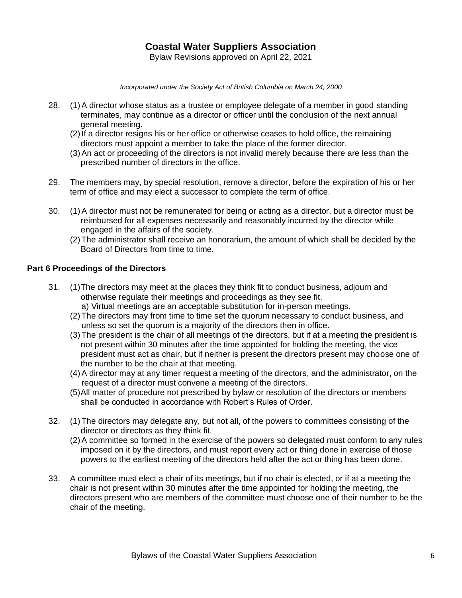- 28. (1)A director whose status as a trustee or employee delegate of a member in good standing terminates, may continue as a director or officer until the conclusion of the next annual general meeting.
	- (2)If a director resigns his or her office or otherwise ceases to hold office, the remaining directors must appoint a member to take the place of the former director.
	- (3)An act or proceeding of the directors is not invalid merely because there are less than the prescribed number of directors in the office.
- 29. The members may, by special resolution, remove a director, before the expiration of his or her term of office and may elect a successor to complete the term of office.
- 30. (1)A director must not be remunerated for being or acting as a director, but a director must be reimbursed for all expenses necessarily and reasonably incurred by the director while engaged in the affairs of the society.
	- (2)The administrator shall receive an honorarium, the amount of which shall be decided by the Board of Directors from time to time.

## **Part 6 Proceedings of the Directors**

- 31. (1)The directors may meet at the places they think fit to conduct business, adjourn and otherwise regulate their meetings and proceedings as they see fit. a) Virtual meetings are an acceptable substitution for in-person meetings.
	- (2)The directors may from time to time set the quorum necessary to conduct business, and unless so set the quorum is a majority of the directors then in office.
	- (3)The president is the chair of all meetings of the directors, but if at a meeting the president is not present within 30 minutes after the time appointed for holding the meeting, the vice president must act as chair, but if neither is present the directors present may choose one of the number to be the chair at that meeting.
	- (4)A director may at any timer request a meeting of the directors, and the administrator, on the request of a director must convene a meeting of the directors.
	- (5)All matter of procedure not prescribed by bylaw or resolution of the directors or members shall be conducted in accordance with Robert's Rules of Order.
- 32. (1)The directors may delegate any, but not all, of the powers to committees consisting of the director or directors as they think fit.
	- (2)A committee so formed in the exercise of the powers so delegated must conform to any rules imposed on it by the directors, and must report every act or thing done in exercise of those powers to the earliest meeting of the directors held after the act or thing has been done.
- 33. A committee must elect a chair of its meetings, but if no chair is elected, or if at a meeting the chair is not present within 30 minutes after the time appointed for holding the meeting, the directors present who are members of the committee must choose one of their number to be the chair of the meeting.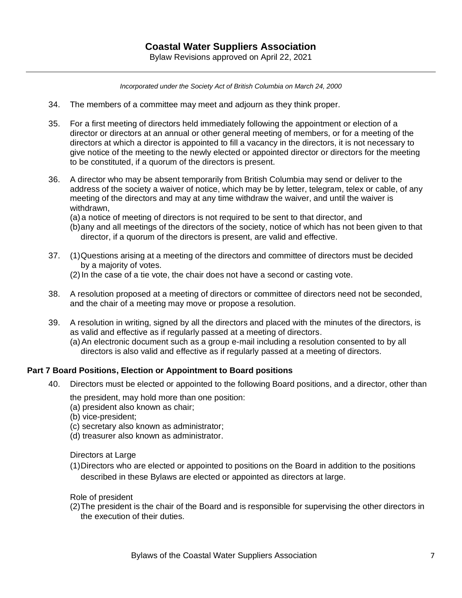- 34. The members of a committee may meet and adjourn as they think proper.
- 35. For a first meeting of directors held immediately following the appointment or election of a director or directors at an annual or other general meeting of members, or for a meeting of the directors at which a director is appointed to fill a vacancy in the directors, it is not necessary to give notice of the meeting to the newly elected or appointed director or directors for the meeting to be constituted, if a quorum of the directors is present.
- 36. A director who may be absent temporarily from British Columbia may send or deliver to the address of the society a waiver of notice, which may be by letter, telegram, telex or cable, of any meeting of the directors and may at any time withdraw the waiver, and until the waiver is withdrawn,
	- (a) a notice of meeting of directors is not required to be sent to that director, and
	- (b)any and all meetings of the directors of the society, notice of which has not been given to that director, if a quorum of the directors is present, are valid and effective.
- 37. (1)Questions arising at a meeting of the directors and committee of directors must be decided by a majority of votes.
	- (2)In the case of a tie vote, the chair does not have a second or casting vote.
- 38. A resolution proposed at a meeting of directors or committee of directors need not be seconded, and the chair of a meeting may move or propose a resolution.
- 39. A resolution in writing, signed by all the directors and placed with the minutes of the directors, is as valid and effective as if regularly passed at a meeting of directors.
	- (a)An electronic document such as a group e-mail including a resolution consented to by all directors is also valid and effective as if regularly passed at a meeting of directors.

#### **Part 7 Board Positions, Election or Appointment to Board positions**

- 40. Directors must be elected or appointed to the following Board positions, and a director, other than
	- the president, may hold more than one position:
	- (a) president also known as chair;
	- (b) vice-president;
	- (c) secretary also known as administrator;
	- (d) treasurer also known as administrator.

Directors at Large

(1)Directors who are elected or appointed to positions on the Board in addition to the positions described in these Bylaws are elected or appointed as directors at large.

Role of president

(2)The president is the chair of the Board and is responsible for supervising the other directors in the execution of their duties.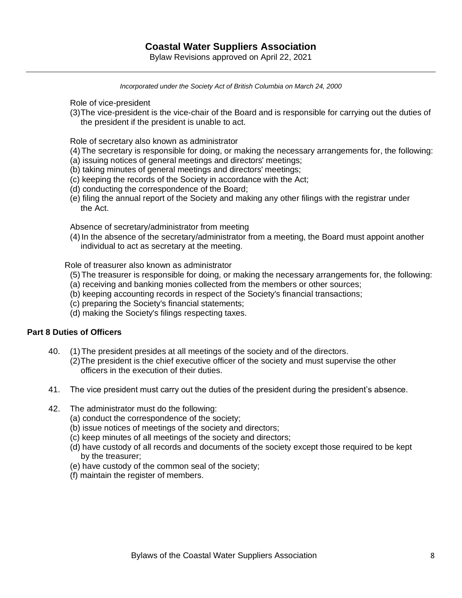*Incorporated under the Society Act of British Columbia on March 24, 2000*

Role of vice-president

(3)The vice-president is the vice-chair of the Board and is responsible for carrying out the duties of the president if the president is unable to act.

Role of secretary also known as administrator

- (4)The secretary is responsible for doing, or making the necessary arrangements for, the following:
- (a) issuing notices of general meetings and directors' meetings;
- (b) taking minutes of general meetings and directors' meetings;
- (c) keeping the records of the Society in accordance with the Act;
- (d) conducting the correspondence of the Board;
- (e) filing the annual report of the Society and making any other filings with the registrar under the Act.

Absence of secretary/administrator from meeting

(4) In the absence of the secretary/administrator from a meeting, the Board must appoint another individual to act as secretary at the meeting.

Role of treasurer also known as administrator

- (5)The treasurer is responsible for doing, or making the necessary arrangements for, the following:
- (a) receiving and banking monies collected from the members or other sources;
- (b) keeping accounting records in respect of the Society's financial transactions;
- (c) preparing the Society's financial statements;
- (d) making the Society's filings respecting taxes.

## **Part 8 Duties of Officers**

- 40. (1)The president presides at all meetings of the society and of the directors.
	- (2)The president is the chief executive officer of the society and must supervise the other officers in the execution of their duties.
- 41. The vice president must carry out the duties of the president during the president's absence.
- 42. The administrator must do the following:
	- (a) conduct the correspondence of the society;
	- (b) issue notices of meetings of the society and directors;
	- (c) keep minutes of all meetings of the society and directors;
	- (d) have custody of all records and documents of the society except those required to be kept by the treasurer;
	- (e) have custody of the common seal of the society;
	- (f) maintain the register of members.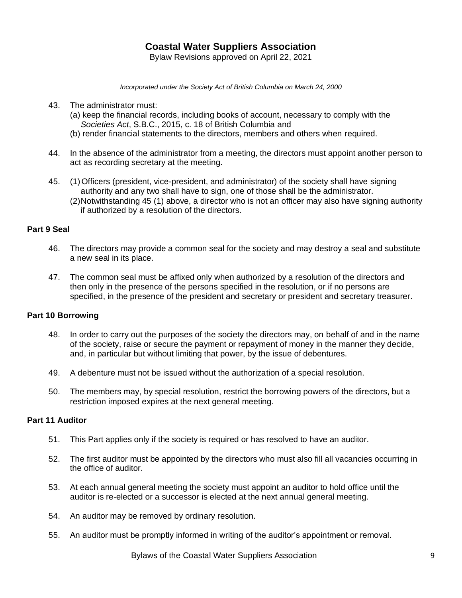- 43. The administrator must:
	- (a) keep the financial records, including books of account, necessary to comply with the *Societies Act*, S.B.C., 2015, c. 18 of British Columbia and
	- (b) render financial statements to the directors, members and others when required.
- 44. In the absence of the administrator from a meeting, the directors must appoint another person to act as recording secretary at the meeting.
- 45. (1)Officers (president, vice-president, and administrator) of the society shall have signing authority and any two shall have to sign, one of those shall be the administrator.
	- (2)Notwithstanding 45 (1) above, a director who is not an officer may also have signing authority if authorized by a resolution of the directors.

## **Part 9 Seal**

- 46. The directors may provide a common seal for the society and may destroy a seal and substitute a new seal in its place.
- 47. The common seal must be affixed only when authorized by a resolution of the directors and then only in the presence of the persons specified in the resolution, or if no persons are specified, in the presence of the president and secretary or president and secretary treasurer.

#### **Part 10 Borrowing**

- 48. In order to carry out the purposes of the society the directors may, on behalf of and in the name of the society, raise or secure the payment or repayment of money in the manner they decide, and, in particular but without limiting that power, by the issue of debentures.
- 49. A debenture must not be issued without the authorization of a special resolution.
- 50. The members may, by special resolution, restrict the borrowing powers of the directors, but a restriction imposed expires at the next general meeting.

## **Part 11 Auditor**

- 51. This Part applies only if the society is required or has resolved to have an auditor.
- 52. The first auditor must be appointed by the directors who must also fill all vacancies occurring in the office of auditor.
- 53. At each annual general meeting the society must appoint an auditor to hold office until the auditor is re-elected or a successor is elected at the next annual general meeting.
- 54. An auditor may be removed by ordinary resolution.
- 55. An auditor must be promptly informed in writing of the auditor's appointment or removal.

Bylaws of the Coastal Water Suppliers Association 9